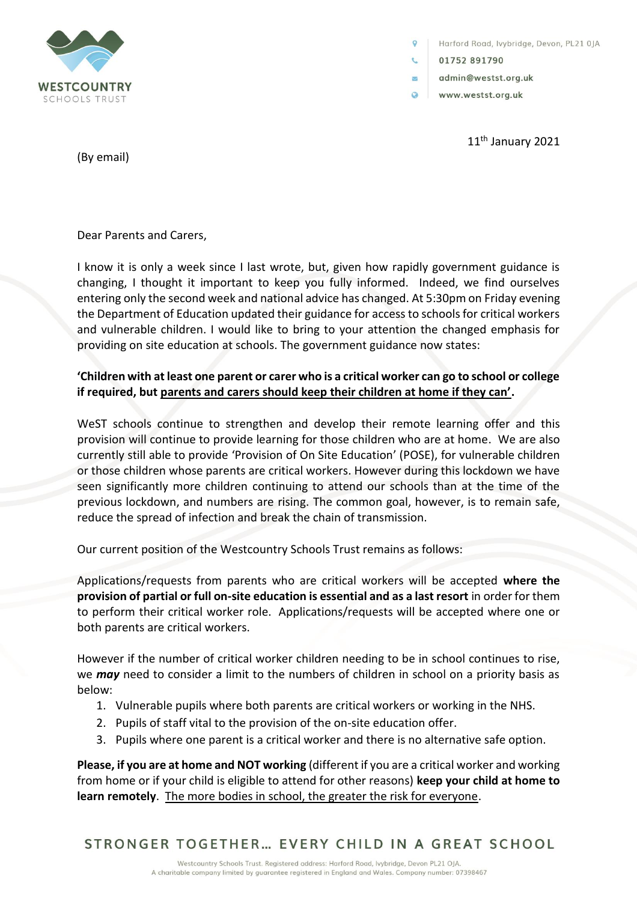

Harford Road, lvybridge, Devon, PL21 0JA

01752 891790

 $\overline{\mathbf{v}}$ 

- admin@westst.org.uk
- $\bullet$ www.westst.org.uk

11<sup>th</sup> January 2021

(By email)

Dear Parents and Carers,

I know it is only a week since I last wrote, but, given how rapidly government guidance is changing, I thought it important to keep you fully informed. Indeed, we find ourselves entering only the second week and national advice has changed. At 5:30pm on Friday evening the Department of Education updated their guidance for access to schools for critical workers and vulnerable children. I would like to bring to your attention the changed emphasis for providing on site education at schools. The government guidance now states:

## **'Children with at least one parent or carer who is a critical worker can go to school or college if required, but parents and carers should keep their children at home if they can'.**

WeST schools continue to strengthen and develop their remote learning offer and this provision will continue to provide learning for those children who are at home. We are also currently still able to provide 'Provision of On Site Education' (POSE), for vulnerable children or those children whose parents are critical workers. However during this lockdown we have seen significantly more children continuing to attend our schools than at the time of the previous lockdown, and numbers are rising. The common goal, however, is to remain safe, reduce the spread of infection and break the chain of transmission.

Our current position of the Westcountry Schools Trust remains as follows:

Applications/requests from parents who are critical workers will be accepted **where the provision of partial or full on-site education is essential and as a last resort** in order for them to perform their critical worker role. Applications/requests will be accepted where one or both parents are critical workers.

However if the number of critical worker children needing to be in school continues to rise, we *may* need to consider a limit to the numbers of children in school on a priority basis as below:

- 1. Vulnerable pupils where both parents are critical workers or working in the NHS.
- 2. Pupils of staff vital to the provision of the on-site education offer.
- 3. Pupils where one parent is a critical worker and there is no alternative safe option.

**Please, if you are at home and NOT working** (different if you are a critical worker and working from home or if your child is eligible to attend for other reasons) **keep your child at home to learn remotely**. The more bodies in school, the greater the risk for everyone.

STRONGER TOGETHER... EVERY CHILD IN A GREAT SCHOOL